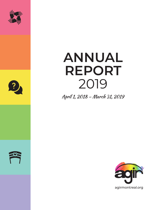



# **ANNUAL REPORT** 2019

April 1, 2018 – March 31, 2019



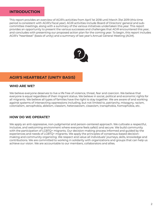## **INTRODUCTION**

This report provides an overview of AGIR's activities from April 1st 2018 until March 31st 2019 (this time period is consistent with AGIR's fiscal year). AGIR activities include Board of Directors' general and subcommittee meetings, along with a summary of the various initiatives undertaken this year. This report provides an opportunity to present the various successes and challenges that AGIR encountered this year, and concludes with presenting our proposed action plan for the coming year. To begin, this report includes AGIR's "heartbeat" (basis of unity) and a summary of last year's Annual General Meeting (AGM).



# **AGIR'S HEARTBEAT (UNITY BASIS)**

#### **WHO ARE WE?**

We believe everyone deserves to live a life free of violence, threat, fear and coercion. We believe that everyone is equal regardless of their migrant status. We believe in social, political and economic rights for all migrants. We believe all types of families have the right to stay together. We are aware of and working against systems of intersecting oppressions including, but not limited to, patriarchy, misogyny, racism, colonialism, xenophobia, ableism, classism, heterosexism, cissexism, transphobia, homophobia, etc.

### **HOW DO WE OPERATE?**

We apply an anti-oppressive, non-judgmental and person-centered approach. We cultivate a respectful, inclusive, and welcoming environment where everyone feels safe(r) and secure. We build community with the participation of LGBTQ+ migrants. Our decision-making process informed and guided by the experiences and needs of LGBTQ+ migrants. We apply the principles of consensus-based decisionmaking and community organizing. We respect and value all individuals' journeys, skills, knowledge and contributions. We are committed to working in solidarity with organizations and groups that can help us achieve our vision. We are accountable to our members, collaborators and allies.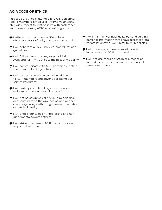# **AGIR CODE OF ETHICS**

This code of ethics is intended for AGIR personnel (board members, employees, interns, volunteers, etc.) with respect to relationships with each other and those accessing AGIR services/programs.

- **T** I adhere to and promote AGIR's mission, objectives, basis of unity and this code of ethics
- I will adhere to all AGIR policies, procedures and guidelines
- $\bigoplus$  I will follow through on my responsibilities to AGIR and fulfill my duties to the best of my ability
- $\bigoplus$  I will communicate with AGIR as soon as I notice that I cannot fulfil my duties
- ↑I will respect all AGIR personnel in addition to AGIR members and anyone accessing our services/programs
- $\bigoplus$  I will participate in building an inclusive and welcoming environment within AGIR
- $\bigoplus$  I will not harass (physical, sexual, psychological) or discriminate on the grounds of race, gender, class, religion, age, ethic origin, sexual orientation or gender identity
- $\bigoplus$  I will endeavour to be anti-oppressive and nonjudgemental towards others
- I will strive to represent AGIR in an accurate and responsible manner
- $\bigoplus$  I will maintain confidentiality by not divulging personal information that I have access to from my affiliation with AGIR (refer to AGIR policies)
- $\bigstar$  I will not engage in sexual relations with individuals that AGIR is supporting
- I will not use my role at AGIR as a means of intimidation, coercion or any other abuse of power over others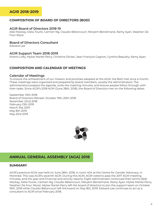## **COMPOSITION OF BOARD OF DIRECTORS (BOD)**

#### **AGIR Board of Directors 2018-19**

Akki Mackay, Dalia Tourki, Carmen Ng, Claudio Bétancourt, Meryem Benslimane, Ramy Ayari, Stephen De Four-Wyre.

#### **Board of Directors Consultant**

Edward Lee

#### **AGIR Support Team 2018-2019**

Shams Lofty, Myloe Martel-Perry, Christina Olivieri, Jean-François Gagnon, Cynthia Beaudry, Ramy Ayari.

#### **COMPOSITION AND CALENDAR OF MEETINGS**

#### **Calendar of Meetings**

To ensure the achievement of our mission and priorities adopted at the AGM, the BoD met once a month. These meetings were organized and prepared by board members, usually the administrators. The administrators prepare the agenda, write the meeting minutes, and ensure people follow through with their tasks. Since AGIR's 2018 AGM (June 28th, 2018), the Board of Directors met on the following dates:

September 10th 2018 Board of Directors Retreat: October 19th-20th 2018 November 22nd 2018 February 13th 2019 March 31st 2019 May 8th 2019 May 23rd 2019



# **ANNUAL GENERAL ASSEMBLY (AGA) 2018**

#### **SUMMARY**

AGIR's previous AGM was held on June 28th, 2018, in room 404 at the Centre for Gender Advocacy, in Montréal. This was AGIR's seventh AGM. During this AGM, AGIR voted to pass the 2017 AGM meeting minutes, and the year-end financial and activity reports. Eight administrator continued their terms (Akki Mackay, Dalia Tourki, Carmen Ng, Claudio Bétancourt, Meryem Benslimane, Ramy Ayari, Myloe Martel-Perry, Stephen De Four-Wyre). Myloe Martel-Perry left the board of directors to join the support team on October 16th, 2018 while Claudio Bétancourt left the board on May 8th, 2019. Edward Lee continues to act as a consultant to AGIR since February 2018.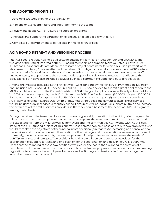# **THE ADOPTED PRIORITIES**

- 1. Develop a strategic plan for the organization
- 2. Hire one or two coordinators and integrate them to the team
- 3. Review and adapt AGIR structure and support programs
- 4. Increase and support the participation of directly affected people within AGIR
- 5. Complete our commitment to participate in the research project

## **AGIR BOARD RETREAT AND VISIONING PROCESS**

The AGIR board retreat was held at a cottage outside of Montreal on October 19th and 20th 2018. The two days of the retreat involved both AGIR board members and support team volunteers. Edward Lee, AGIR's consultant and Mariam Manai, the research project coordinator (of which AGIR is a partner) were also present. In total, 9 people attended the retreat. Both days included discussions around AGIR's future, the organization's priorities and the transition towards an organizational structure based on paid staff and volunteers, in opposition to the current model depending solely on volunteers. In addition to the discussions, both days also included activities such as a community supper and outdoors activities.

Among the matters discussed at the retreat was AGIR's funding by the Ministry of Immigration, Diversity and Inclusion of Quebec (MIDI). Indeed, in April 2018, AGIR had decided to submit a grant application to the MIDI, in collaboration with the Conseil Québécois LGBT. The grant application was officially submitted June 1st, 2018, and was accepted by the MIDI in September 2018. The funds granted (50 000\$ this year, 100 000\$ for the next two years for a grand total of 150 000\$) aims at two main goals: (1) increase and consolidate AGIR' service offering towards LGBTQ+ migrants, notably refugees and asylum seekers. Those services would include: drop in services, a monthly support group as well as individual support; (2) train and increase the awareness of the MIDI' services providers so that they could best meet the needs of LGBTQ+ migrants among their clients.

During the retreat, the team has discussed this funding, notably in relation to the hiring of employees, the role and tasks that these employees would have to complete, the new structure of the organization, and the expectations from the MIDI as well as from AGIR and the communities AGIR works with. At this early stage of the MIDI-funded project, AGIR's priority was to create two paid positions to hire two employees who would complete the objectives of the funding, more specifically in regards to increasing and consolidating the services and in connection with the creation of the trainings and the education/awareness component. Ultimately, the work completed by the two employees will help to better serve and meet the needs of LGBTQ+ migrants and refugees. Two positions have therefore been considered: one position for the coordination of support services, and one position for the coordination and delivery of AGIR's trainings. Once that the mapping of these two positions was clearer, the board then planned the creation of a recruitment subcommittee whose mission was to hire the two employees. Other concerns, such as creating regulations to supervise the employees better as well as finding a professional in finance management, were also named and discussed.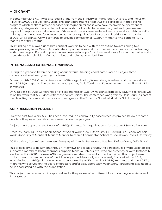## **MIDI GRANT**

In September 2018 AGIR was awarded a grant from the Ministry of Immigration, Diversity and Inclusion (MIDI) of 50,000\$ per year for 3 years. The grant agreement enlists AGIR to participate in their PRINT program which seeks to provide services of integration for those who have received their permanent residence, refugee status or protected persons status. In order to receive the grant each year we are required to support a certain number of those with the statuses we have listed above along with providing training to organizations for newcomers as well as organizations for sexual minorities on the realities of LGBTQ+ Migrants. We will continue to provide services for all LGBTQ+ migrants who come to AGIR, regardless of their status.

This funding has allowed us to hire contract workers to help with the transition towards hiring two employees long term. One will coordinate support services and the other will coordinate external training. With these large shifts taking place we are busy setting up a functional workspace for them as well as trying to see through their vision of what services and training could look like.

## **INTERNAL AND EXTERNAL TRAININGS**

During this year and before the hiring of our external training coordinator, Joseph Tiedjou, three conferences have been given by our team:

On August 7th, 2018: One conference on AGIR's organization, its mandate, its values, and the work done with LGBTQ+ migrants. The conference was given by Dalia Tourki and Edward Lee to the law firm McMillan in Montreal.

On October 31st, 2018: Conference on life experiences of LGBTQ+ migrants, especially asylum seekers, as well as on the work that AGIR does with these communities. The conference was given by Dalia Tourki as part of the class 'Regulations and practices with refugees' at the School of Social Work at McGill University.

## **AGIR RESEARCH PROJECT**

Over the past two years, AGIR has been involved in a community-based research project. Below are some details of the project and its advancements over the past year.

Project title: Supporting the Needs of LGBTQ Migrants: An Organizational Case Study of Service Delivery

Research Team: Dr. Sarilee Kahn, School of Social Work, McGill University; Dr. Edward Lee, School of Social Work, University of Montreal, Mariam Mannai, Research Coordinator, School of Social Work, McGill University

AGIR Advisory Committee members: Ramy Ayari, Claudio Betancourt, Stephen Dufour-Wyre, Dalia Tourki

This project aims to document, through interviews and focus groups, the perspectives of various actors (i.e. supported members, board members, support team volunteers, etc.) who are presently or were historically involved within AGIR to assess AGIR's organizational structure and support activities. This project aims to document the perspectives of the following actors historically and presently involved within AGIR, which include: LGBTQ migrants who were supported by AGIR, as well as LGBTQ migrants and non-LGBTQ migrants who served on the board of directors and/or as support team volunteers. Participants also need to be in good standing with the organization.

This project has received ethics approval and is the process of recruitment for conducting interviews and focus groups.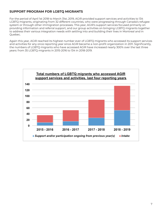# **SUPPORT PROGRAM FOR LGBTQ MIGRANTS**

For the period of April 1st 2018 to March 31st, 2019, AGIR provided support services and activities to 134 LGBTQ migrants, originating from 32 different countries, who were progressing through Canada's refugee system or through other immigration processes. This year, AGIR's support services focused primarily on providing information and referral support, and our group activities on bringing LGBTQ migrants together to address their various integration needs with settling into and building their lives in Montreal and in Quebec.

Again this year, AGIR reached its highest number ever of LGBTQ migrants who accessed its support services and activities for any once reporting year since AGIR became a non-profit organization in 2011. Significantly, the numbers of LGBTQ migrants who have accessed AGIR have increased nearly 300% over the last three years: from 35 LGBTQ migrants in 2015-2016 to 134 in 2018-2019.

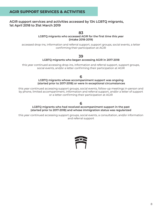### **AGIR support services and activities accessed by 134 LGBTQ migrants, 1st April 2018 to 31st March 2019**

**83**

#### **LGBTQ migrants who accessed AGIR for the first time this year (intake 2018-2019)**

accessed drop-ins, information and referral support, support groups, social events, a letter confirming their participation at AGIR

#### **39**

#### **LGBTQ migrants who began accessing AGIR in 2017-2018**

this year continued accessing drop-ins, information and referral support, support groups, social events, and/or a letter confirming their participation at AGIR

#### **6 LGBTQ migrants whose accompaniment support was ongoing (started prior to 2017-2018) or were in exceptional circumstances**

this year continued accessing support groups, social events, follow-up meetings in-person and by phone, limited accompaniment, information and referral support, and/or a letter of support or a letter confirming their participation at AGIR

**6**

#### **LGBTQ migrants who had received accompaniment support in the past (started prior to 2017-2018) and whose immigration status was regularized**

this year continued accessing support groups, social events, a consultation, and/or information and referral support

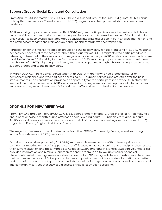## **Support Groups, Social Event and Consultation**

From April 1st, 2018 to March 31st, 2019, AGIR held five Support Groups for LGBTQ Migrants, AGIR's Annual Holiday Party, as well as a Consultation with LGBTQ migrants who had protected status or permanent residence.

AGIR support groups and social events offer LGBTQ migrant participants a space to meet and talk, learn and share ideas and information about settling and integrating in Montreal, make new friends and help break social isolation. AGIR's facilitated group activities integrate discussion in both English and French, and can often accommodate speakers of Arabic and Spanish through whisper translation.

Participation for this year's five support groups and the holiday party ranged from 25 to 41 LGBTQ migrants per activity. For each of these activities, about three-quarters of LGBTQ migrants who participated were returning to take part in their second or more group or social activity at AGIR, while about one-quarter were participating in an AGIR activity for the first time. Also, AGIR's support groups and social events welcome the children of LGBTQ migrants participants, and, this year, parents brought children along to three of the support groups and to the holiday party.

In March 2019, AGIR held a small consultation with LGBTQ migrants who had protected status or permanent residence, and who had been accessing AGIR support services and activities over the past several months. This consultation provided an opportunity for the participants to provide AGIR staff with feedback on their experiences of AGIR's services and activities, as well as their input about what activities and services they would like to see AGIR continue to offer and start to develop for the next year.

## **DROP-INS FOR NEW REFERRALS**

From May 2018 through February 2019, AGIR's support program offered 13 Drop-ins for New Referrals, held about once or twice a month during afternoon and/or evening hours. During this year's drop-in hours, AGIR's support team staff were able to provide a total of 66 confidential meetings with individual LGBTQ migrants, in French, English, Arabic and Spanish.

The majority of referrals to the drop-ins came from the LGBTQ+ Community Centre, as well as through word-of-mouth among LGBTQ migrants.

Drop-ins provided the opportunity for LGBTQ migrants who were new to AGIR to have a private and confidential meeting with AGIR support team staff, focused on active listening and on helping them assess their current situation and most immediate needs as LGBTQ migrants in Montreal. Support volunteers also provided information and referral support on the spot, or through a follow-up email or phone call. These confidential meetings were important occasions for LGBTQ migrants to ask questions and to express their worries, as well as for AGIR support volunteers to provide them with accurate information and better understanding about the refugee process and about various immigration processes, as well as about social and community services that they could access or had already been accessing.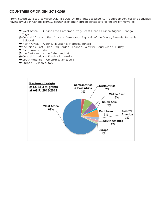## **COUNTRIES OF ORIGIN, 2018-2019**

From 1st April 2018 to 31st March 2019, 134 LGBTQ+ migrants accessed AGIR's support services and activities, having arrived in Canada from 32 countries of origin spread across several regions of the world:

- West Africa Burkina Faso, Cameroon, Ivory Coast, Ghana, Guinea, Nigeria, Senegal, Togo
- $\bigoplus$  Central Africa and East Africa Democratic Republic of the Congo, Rwanda, Tanzania, Djibouti
- North Africa Algeria, Mauritania, Morocco, Tunisia
- the Middle East Iran, Iraq, Jordan, Lebanon, Palestine, Saudi Arabia, Turkey
- South Asia India
- $\bigoplus$  the Caribbean the Bahamas, Haiti
- Central America El Salvador, Mexico
- $\bigoplus$  South America Columbia, Venezuela
- $\bigoplus$  Europe Albania, Italy

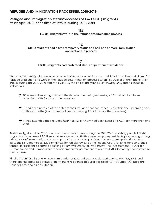#### **REFUGEE AND IMMIGRATION PROCESSES, 2018-2019**

#### **Refugee and immigration status/processes of 134 LGBTQ migrants, at 1st April 2018 or at time of intake during 2018-2019**

#### **115 LGBTQ migrants were in the refugee determination process**

**12 LGBTQ migrants had a type temporary status and had one or more immigration applications in process**

#### **7 LGBTQ migrants had protected status or permanent residence**

This year, 115 LGBTQ migrants who accessed AGIR support services and activities had submitted claims for refugee protection and were in the refugee determination process at April 1st, 2018 or at the time of their intake during the 2018-2019 reporting year. By the end of the year, at March 31st, 2019, among these 115 individuals:

- $\bigoplus$  88 were still awaiting notice of the dates of their refugee hearings (19 of whom had been accessing AGIR for more than one year),
- $\bigoplus$  10 had been notified of the dates of their refugee hearings, scheduled within the upcoming one to three months (4 of whom had been accessing AGIR for more than one year),
- $\bigoplus$  17 had attended their refugee hearings (12 of whom had been accessing AGIR for more than one year).

Additionally, at April 1st, 2018 or at the time of their intake during the 2018-2019 reporting year, 12 LGBTQ migrants who accessed AGIR support services and activities were temporary residents progressing through other types of immigration processes, preparing or awaiting decisions one or more applications, such as: to the Refugee Appeal Division (RAD), for judicial review at the Federal Court, for an extension of their temporary residence permit, appealing a Removal Order, for Pre-removal Risk Assessment (PRAA), for Humanitarian and Compassionate consideration for permanent residence (H&C), for family sponsorship by their spouse.

Finally, 7 LGBTQ migrants whose immigration status had been regularized prior to April 1st, 2018, and therefore had protected status or permanent residence, this year accessed AGIR's Support Groups, the Holiday Party and a Consultation.